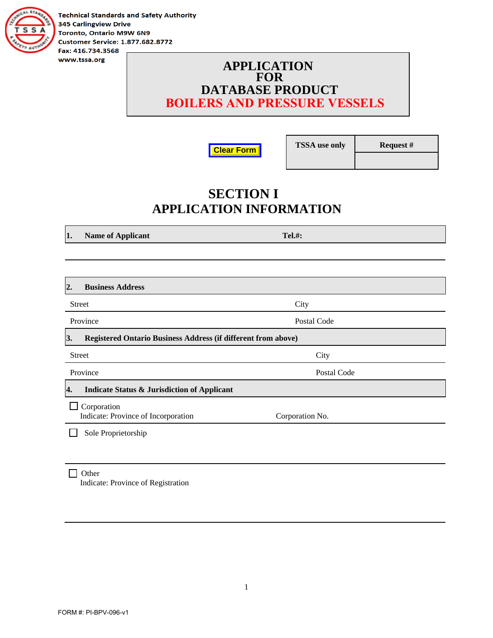

**Technical Standards and Safety Authority 345 Carlingview Drive** Toronto, Ontario M9W 6N9 **Customer Service: 1.877.682.8772** Fax: 416.734.3568

### **APPLICATION FOR DATABASE PRODUCT BOILERS AND PRESSURE VESSELS**



**TSSA use only Request #** 

# **SECTION I APPLICATION INFORMATION**

**1.** Name of Applicant Tel.#:

| <b>Business Address</b><br>2.                                       |                 |  |
|---------------------------------------------------------------------|-----------------|--|
| <b>Street</b>                                                       | City            |  |
| Province                                                            | Postal Code     |  |
| 3.<br>Registered Ontario Business Address (if different from above) |                 |  |
| <b>Street</b>                                                       | City            |  |
| Province                                                            | Postal Code     |  |
| <b>Indicate Status &amp; Jurisdiction of Applicant</b><br>4.        |                 |  |
| Corporation<br>Indicate: Province of Incorporation                  | Corporation No. |  |
| Sole Proprietorship                                                 |                 |  |
|                                                                     |                 |  |

1

#### $\Box$  Other Indicate: Province of Registration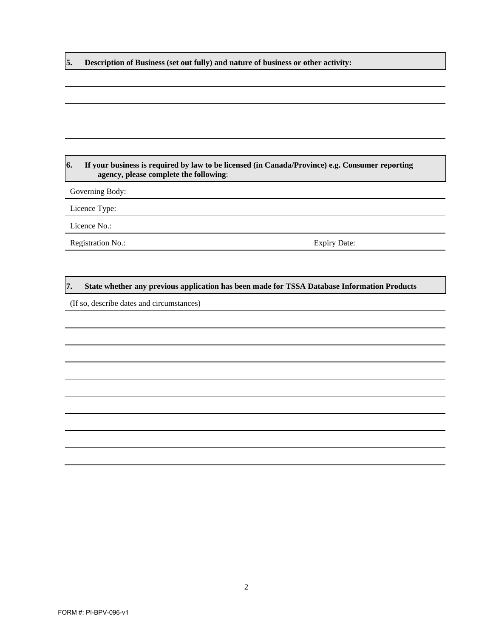**5. Description of Business (set out fully) and nature of business or other activity:** 

#### **6. If your business is required by law to be licensed (in Canada/Province) e.g. Consumer reporting agency, please complete the following**:

Governing Body:

Licence Type:

Licence No.:

Registration No.: Expiry Date:

#### **7. State whether any previous application has been made for TSSA Database Information Products**

(If so, describe dates and circumstances)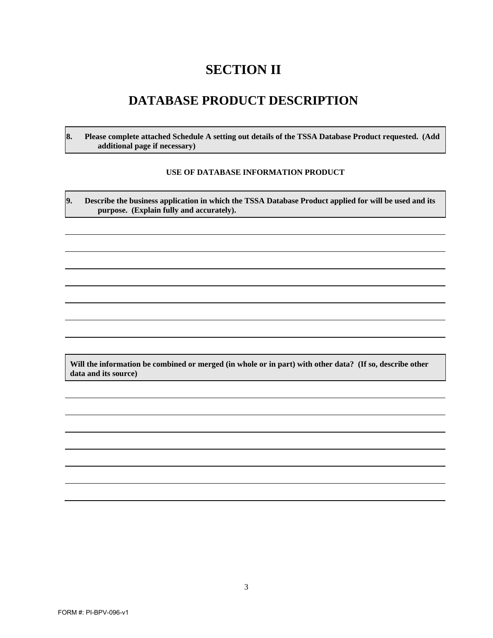# **SECTION II**

### **DATABASE PRODUCT DESCRIPTION**

**8. Please complete attached Schedule A setting out details of the TSSA Database Product requested. (Add additional page if necessary)** 

#### **USE OF DATABASE INFORMATION PRODUCT**

**9. Describe the business application in which the TSSA Database Product applied for will be used and its purpose. (Explain fully and accurately).** 

**Will the information be combined or merged (in whole or in part) with other data? (If so, describe other data and its source)**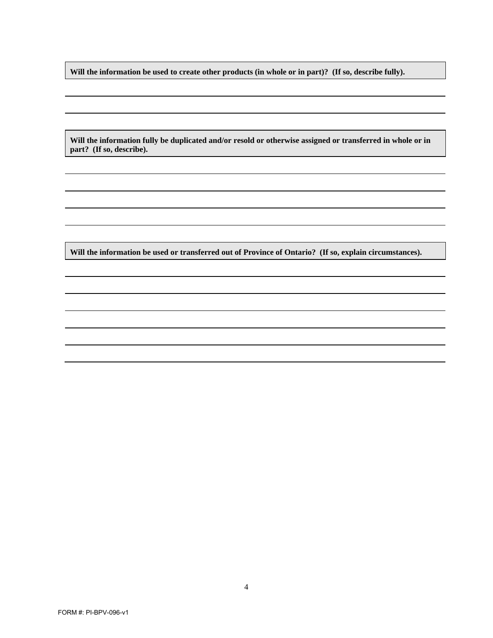**Will the information be used to create other products (in whole or in part)? (If so, describe fully).** 

**Will the information fully be duplicated and/or resold or otherwise assigned or transferred in whole or in part? (If so, describe).** 

**Will the information be used or transferred out of Province of Ontario? (If so, explain circumstances).**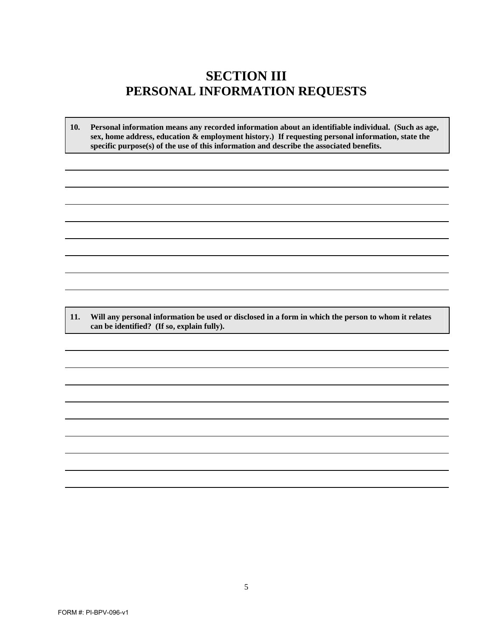### **SECTION III PERSONAL INFORMATION REQUESTS**

**10. Personal information means any recorded information about an identifiable individual. (Such as age, sex, home address, education & employment history.) If requesting personal information, state the specific purpose(s) of the use of this information and describe the associated benefits.**

**11. Will any personal information be used or disclosed in a form in which the person to whom it relates can be identified? (If so, explain fully).**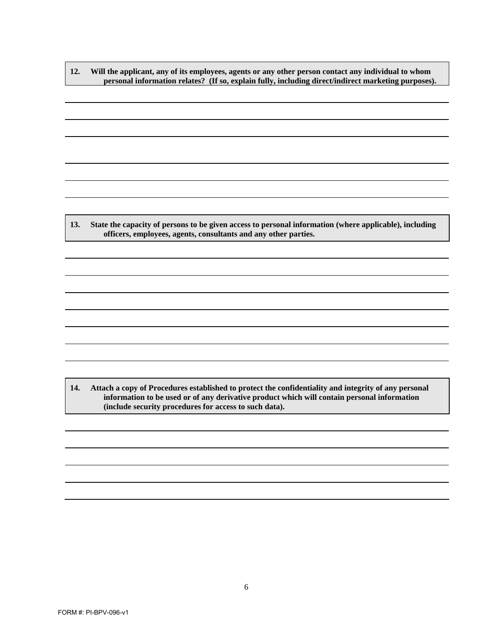**12. Will the applicant, any of its employees, agents or any other person contact any individual to whom personal information relates? (If so, explain fully, including direct/indirect marketing purposes).** 

**13. State the capacity of persons to be given access to personal information (where applicable), including officers, employees, agents, consultants and any other parties.** 

**14. Attach a copy of Procedures established to protect the confidentiality and integrity of any personal information to be used or of any derivative product which will contain personal information (include security procedures for access to such data).**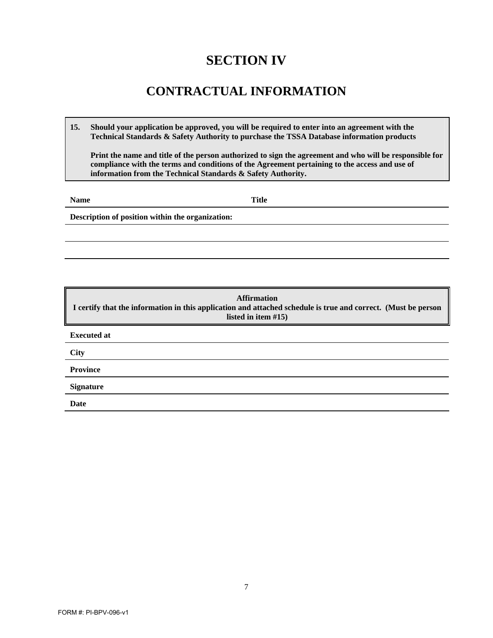# **SECTION IV**

### **CONTRACTUAL INFORMATION**

**15. Should your application be approved, you will be required to enter into an agreement with the Technical Standards & Safety Authority to purchase the TSSA Database information products**

**Print the name and title of the person authorized to sign the agreement and who will be responsible for compliance with the terms and conditions of the Agreement pertaining to the access and use of information from the Technical Standards & Safety Authority.**

**Name** Title

**Description of position within the organization:** 

**Affirmation I certify that the information in this application and attached schedule is true and correct. (Must be person listed in item #15) Executed at City Province Signature Date**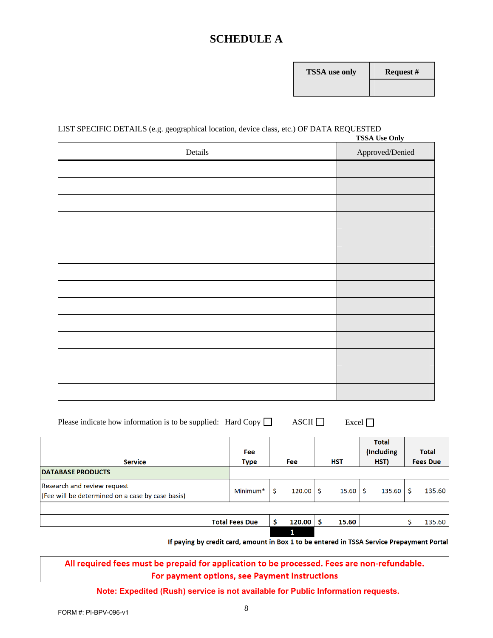### **SCHEDULE A**

| <b>FSSA</b> use only | R6 |
|----------------------|----|
|                      |    |

#### LIST SPECIFIC DETAILS (e.g. geographical location, device class, etc.) OF DATA REQUESTED **TSSA Use Only**

| Details | <b>155A USE UIII</b><br>Approved/Denied |
|---------|-----------------------------------------|
|         |                                         |
|         |                                         |
|         |                                         |
|         |                                         |
|         |                                         |
|         |                                         |
|         |                                         |
|         |                                         |
|         |                                         |
|         |                                         |
|         |                                         |
|         |                                         |
|         |                                         |
|         |                                         |

| Please indicate how information is to be supplied: Hard Copy $\Box$ |  | $\overline{\text{ASCII}}$ | $\mathbf{Excel}$ |
|---------------------------------------------------------------------|--|---------------------------|------------------|
|---------------------------------------------------------------------|--|---------------------------|------------------|

| <b>Service</b>                                                                  | <b>Fee</b><br><b>Type</b> | <b>Fee</b> | <b>HST</b> | <b>Total</b><br>(Including<br>HST) | <b>Total</b><br><b>Fees Due</b> |
|---------------------------------------------------------------------------------|---------------------------|------------|------------|------------------------------------|---------------------------------|
| <b>DATABASE PRODUCTS</b>                                                        |                           |            |            |                                    |                                 |
| Research and review request<br>(Fee will be determined on a case by case basis) | Minimum <sup>*</sup>      | 120.00     | 15.60      | 135.60                             | 135.60                          |
|                                                                                 |                           |            |            |                                    |                                 |
|                                                                                 | <b>Total Fees Due</b>     | 120.00     | 15.60      |                                    | 135.60                          |
|                                                                                 |                           | 1          |            |                                    |                                 |

If paying by credit card, amount in Box 1 to be entered in TSSA Service Prepayment Portal

#### All required fees must be prepaid for application to be processed. Fees are non-refundable. For payment options, see Payment Instructions

#### **Note: Expedited (Rush) service is not available for Public Information requests.**